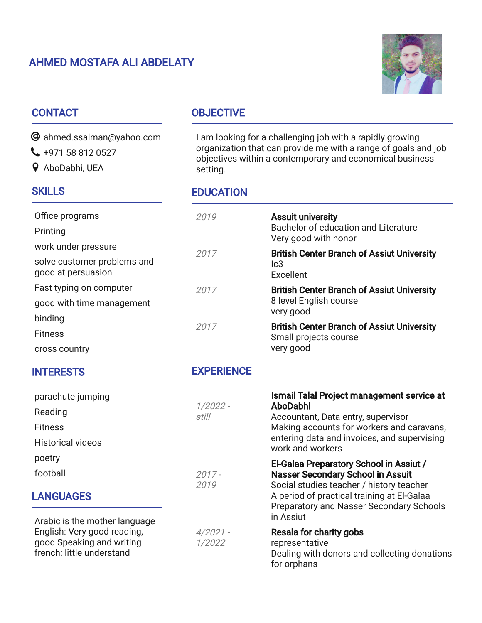# AHMED MOSTAFA ALI ABDELATY



## **CONTACT**

 $\bm{\Theta}$  ahmed.ssalman@yahoo.com

- $\bigcup$  +971 58 812 0527
- AboDabhi, UEA

## **SKILLS**

# **OBJECTIVE**

I am looking for a challenging job with a rapidly growing organization that can provide me with a range of goals and job objectives within a contemporary and economical business setting.

#### **EDUCATION**

| Office programs<br>Printing                                                               | 2019                 | <b>Assuit university</b><br>Bachelor of education and Literature<br>Very good with honor                                                                                                                     |
|-------------------------------------------------------------------------------------------|----------------------|--------------------------------------------------------------------------------------------------------------------------------------------------------------------------------------------------------------|
| work under pressure<br>solve customer problems and<br>good at persuasion                  | 2017                 | <b>British Center Branch of Assiut University</b>                                                                                                                                                            |
|                                                                                           |                      | lc3<br>Excellent                                                                                                                                                                                             |
| Fast typing on computer                                                                   | 2017                 | <b>British Center Branch of Assiut University</b>                                                                                                                                                            |
| good with time management                                                                 | 2017                 | 8 level English course<br>very good<br><b>British Center Branch of Assiut University</b><br>Small projects course<br>very good                                                                               |
| binding                                                                                   |                      |                                                                                                                                                                                                              |
| <b>Fitness</b>                                                                            |                      |                                                                                                                                                                                                              |
| cross country                                                                             |                      |                                                                                                                                                                                                              |
| <b>INTERESTS</b>                                                                          | <b>EXPERIENCE</b>    |                                                                                                                                                                                                              |
| parachute jumping                                                                         | $1/2022 -$<br>still  | Ismail Talal Project management service at<br>AboDabhi<br>Accountant, Data entry, supervisor<br>Making accounts for workers and caravans,<br>entering data and invoices, and supervising<br>work and workers |
| Reading                                                                                   |                      |                                                                                                                                                                                                              |
| <b>Fitness</b>                                                                            |                      |                                                                                                                                                                                                              |
| <b>Historical videos</b>                                                                  |                      |                                                                                                                                                                                                              |
| poetry                                                                                    |                      | El-Galaa Preparatory School in Assiut /                                                                                                                                                                      |
| football                                                                                  | $2017 -$             | <b>Nasser Secondary School in Assuit</b>                                                                                                                                                                     |
| <b>LANGUAGES</b>                                                                          | 2019                 | Social studies teacher / history teacher<br>A period of practical training at El-Galaa<br>Preparatory and Nasser Secondary Schools<br>in Assiut                                                              |
| Arabic is the mother language<br>English: Very good reading,<br>good Speaking and writing | $4/2021 -$<br>1/2022 | <b>Resala for charity gobs</b><br>representative                                                                                                                                                             |